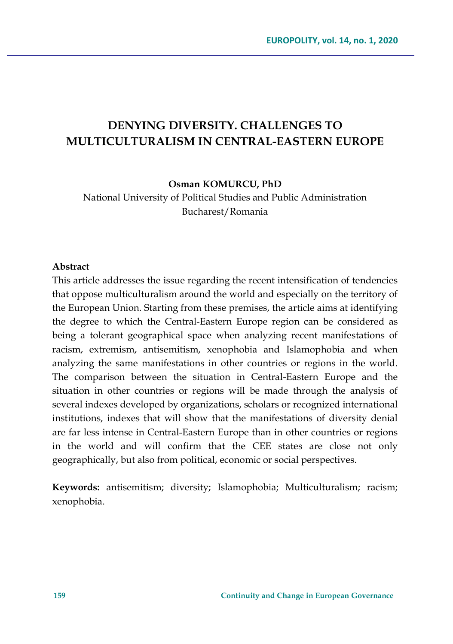# **DENYING DIVERSITY. CHALLENGES TO MULTICULTURALISM IN CENTRAL-EASTERN EUROPE**

**Osman KOMURCU, PhD**

National University of Political Studies and Public Administration Bucharest/Romania

#### **Abstract**

This article addresses the issue regarding the recent intensification of tendencies that oppose multiculturalism around the world and especially on the territory of the European Union. Starting from these premises, the article aims at identifying the degree to which the Central-Eastern Europe region can be considered as being a tolerant geographical space when analyzing recent manifestations of racism, extremism, antisemitism, xenophobia and Islamophobia and when analyzing the same manifestations in other countries or regions in the world. The comparison between the situation in Central-Eastern Europe and the situation in other countries or regions will be made through the analysis of several indexes developed by organizations, scholars or recognized international institutions, indexes that will show that the manifestations of diversity denial are far less intense in Central-Eastern Europe than in other countries or regions in the world and will confirm that the CEE states are close not only geographically, but also from political, economic or social perspectives.

**Keywords:** antisemitism; diversity; Islamophobia; Multiculturalism; racism; xenophobia.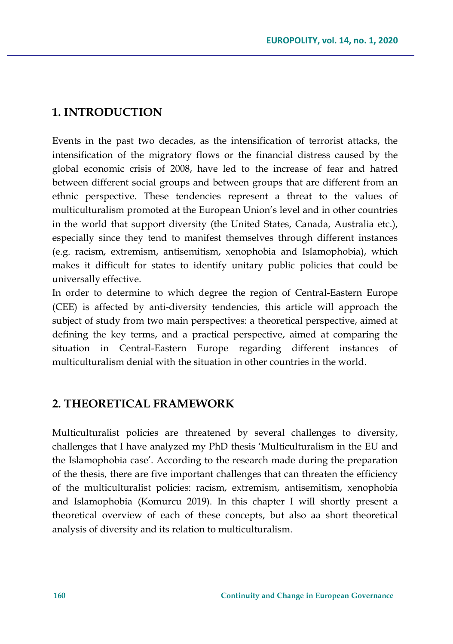# **1. INTRODUCTION**

Events in the past two decades, as the intensification of terrorist attacks, the intensification of the migratory flows or the financial distress caused by the global economic crisis of 2008, have led to the increase of fear and hatred between different social groups and between groups that are different from an ethnic perspective. These tendencies represent a threat to the values of multiculturalism promoted at the European Union's level and in other countries in the world that support diversity (the United States, Canada, Australia etc.), especially since they tend to manifest themselves through different instances (e.g. racism, extremism, antisemitism, xenophobia and Islamophobia), which makes it difficult for states to identify unitary public policies that could be universally effective.

In order to determine to which degree the region of Central-Eastern Europe (CEE) is affected by anti-diversity tendencies, this article will approach the subject of study from two main perspectives: a theoretical perspective, aimed at defining the key terms, and a practical perspective, aimed at comparing the situation in Central-Eastern Europe regarding different instances of multiculturalism denial with the situation in other countries in the world.

# **2. THEORETICAL FRAMEWORK**

Multiculturalist policies are threatened by several challenges to diversity, challenges that I have analyzed my PhD thesis 'Multiculturalism in the EU and the Islamophobia case'. According to the research made during the preparation of the thesis, there are five important challenges that can threaten the efficiency of the multiculturalist policies: racism, extremism, antisemitism, xenophobia and Islamophobia (Komurcu 2019). In this chapter I will shortly present a theoretical overview of each of these concepts, but also aa short theoretical analysis of diversity and its relation to multiculturalism.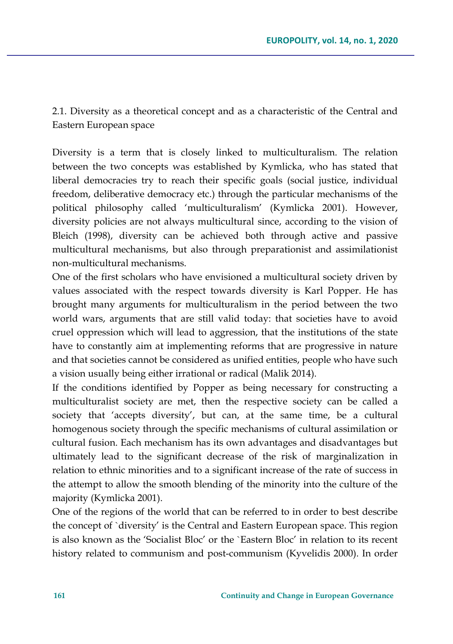2.1. Diversity as a theoretical concept and as a characteristic of the Central and Eastern European space

Diversity is a term that is closely linked to multiculturalism. The relation between the two concepts was established by Kymlicka, who has stated that liberal democracies try to reach their specific goals (social justice, individual freedom, deliberative democracy etc.) through the particular mechanisms of the political philosophy called 'multiculturalism' (Kymlicka 2001). However, diversity policies are not always multicultural since, according to the vision of Bleich (1998), diversity can be achieved both through active and passive multicultural mechanisms, but also through preparationist and assimilationist non-multicultural mechanisms.

One of the first scholars who have envisioned a multicultural society driven by values associated with the respect towards diversity is Karl Popper. He has brought many arguments for multiculturalism in the period between the two world wars, arguments that are still valid today: that societies have to avoid cruel oppression which will lead to aggression, that the institutions of the state have to constantly aim at implementing reforms that are progressive in nature and that societies cannot be considered as unified entities, people who have such a vision usually being either irrational or radical (Malik 2014).

If the conditions identified by Popper as being necessary for constructing a multiculturalist society are met, then the respective society can be called a society that 'accepts diversity', but can, at the same time, be a cultural homogenous society through the specific mechanisms of cultural assimilation or cultural fusion. Each mechanism has its own advantages and disadvantages but ultimately lead to the significant decrease of the risk of marginalization in relation to ethnic minorities and to a significant increase of the rate of success in the attempt to allow the smooth blending of the minority into the culture of the majority (Kymlicka 2001).

One of the regions of the world that can be referred to in order to best describe the concept of `diversity' is the Central and Eastern European space. This region is also known as the 'Socialist Bloc' or the `Eastern Bloc' in relation to its recent history related to communism and post-communism (Kyvelidis 2000). In order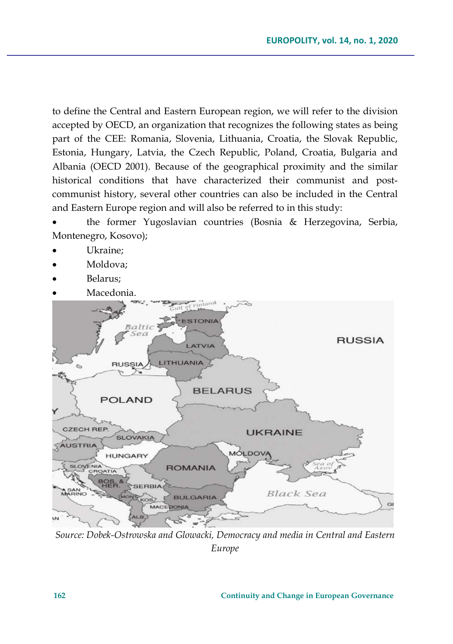to define the Central and Eastern European region, we will refer to the division accepted by OECD, an organization that recognizes the following states as being part of the CEE: Romania, Slovenia, Lithuania, Croatia, the Slovak Republic, Estonia, Hungary, Latvia, the Czech Republic, Poland, Croatia, Bulgaria and Albania (OECD 2001). Because of the geographical proximity and the similar historical conditions that have characterized their communist and postcommunist history, several other countries can also be included in the Central and Eastern Europe region and will also be referred to in this study:

• the former Yugoslavian countries (Bosnia & Herzegovina, Serbia, Montenegro, Kosovo);

- Ukraine:
- Moldova:
- Belarus;
- Macedonia.



*Source: Dobek-Ostrowska and Glowacki, Democracy and media in Central and Eastern Europe*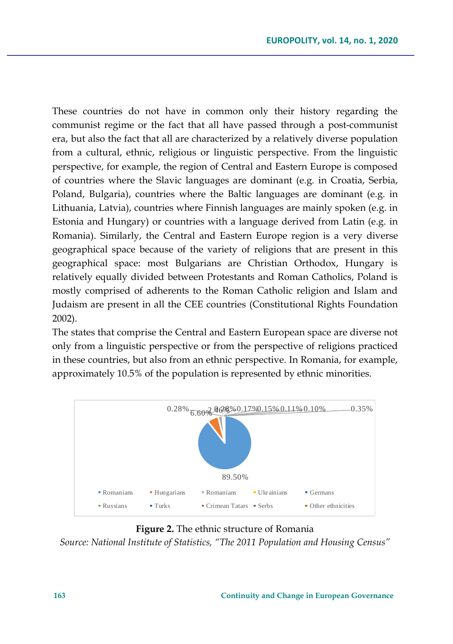These countries do not have in common only their history regarding the communist regime or the fact that all have passed through a post-communist era, but also the fact that all are characterized by a relatively diverse population from a cultural, ethnic, religious or linguistic perspective. From the linguistic perspective, for example, the region of Central and Eastern Europe is composed of countries where the Slavic languages are dominant (e.g. in Croatia, Serbia, Poland, Bulgaria), countries where the Baltic languages are dominant (e.g. in Lithuania, Latvia), countries where Finnish languages are mainly spoken (e.g. in Estonia and Hungary) or countries with a language derived from Latin (e.g. in Romania). Similarly, the Central and Eastern Europe region is a very diverse geographical space because of the variety of religions that are present in this geographical space: most Bulgarians are Christian Orthodox, Hungary is relatively equally divided between Protestants and Roman Catholics, Poland is mostly comprised of adherents to the Roman Catholic religion and Islam and Judaism are present in all the CEE countries (Constitutional Rights Foundation 2002).

The states that comprise the Central and Eastern European space are diverse not only from a linguistic perspective or from the perspective of religions practiced in these countries, but also from an ethnic perspective. In Romania, for example, approximately 10.5% of the population is represented by ethnic minorities.



**Figure 2.** The ethnic structure of Romania *Source: National Institute of Statistics, "The 2011 Population and Housing Census"*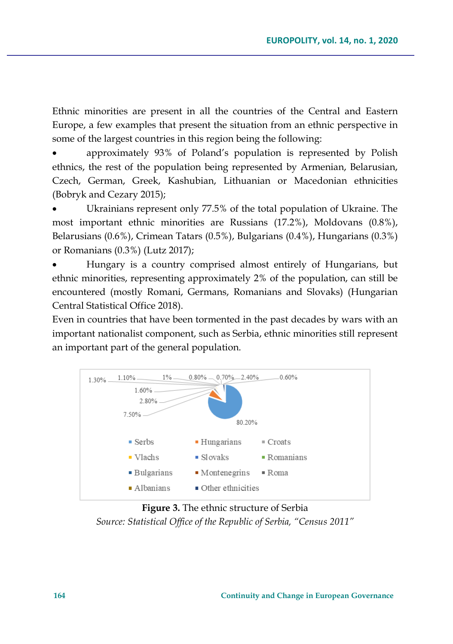Ethnic minorities are present in all the countries of the Central and Eastern Europe, a few examples that present the situation from an ethnic perspective in some of the largest countries in this region being the following:

• approximately 93% of Poland's population is represented by Polish ethnics, the rest of the population being represented by Armenian, Belarusian, Czech, German, Greek, Kashubian, Lithuanian or Macedonian ethnicities (Bobryk and Cezary 2015);

Ukrainians represent only 77.5% of the total population of Ukraine. The most important ethnic minorities are Russians (17.2%), Moldovans (0.8%), Belarusians (0.6%), Crimean Tatars (0.5%), Bulgarians (0.4%), Hungarians (0.3%) or Romanians (0.3%) (Lutz 2017);

• Hungary is a country comprised almost entirely of Hungarians, but ethnic minorities, representing approximately 2% of the population, can still be encountered (mostly Romani, Germans, Romanians and Slovaks) (Hungarian Central Statistical Office 2018).

Even in countries that have been tormented in the past decades by wars with an important nationalist component, such as Serbia, ethnic minorities still represent an important part of the general population.



**Figure 3.** The ethnic structure of Serbia *Source: Statistical Office of the Republic of Serbia, "Census 2011"*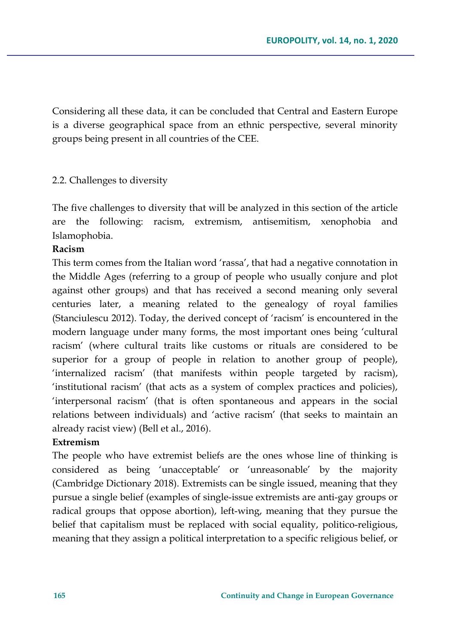Considering all these data, it can be concluded that Central and Eastern Europe is a diverse geographical space from an ethnic perspective, several minority groups being present in all countries of the CEE.

## 2.2. Challenges to diversity

The five challenges to diversity that will be analyzed in this section of the article are the following: racism, extremism, antisemitism, xenophobia and Islamophobia.

# **Racism**

This term comes from the Italian word 'rassa', that had a negative connotation in the Middle Ages (referring to a group of people who usually conjure and plot against other groups) and that has received a second meaning only several centuries later, a meaning related to the genealogy of royal families (Stanciulescu 2012). Today, the derived concept of 'racism' is encountered in the modern language under many forms, the most important ones being 'cultural racism' (where cultural traits like customs or rituals are considered to be superior for a group of people in relation to another group of people), 'internalized racism' (that manifests within people targeted by racism), 'institutional racism' (that acts as a system of complex practices and policies), 'interpersonal racism' (that is often spontaneous and appears in the social relations between individuals) and 'active racism' (that seeks to maintain an already racist view) (Bell et al., 2016).

## **Extremism**

The people who have extremist beliefs are the ones whose line of thinking is considered as being 'unacceptable' or 'unreasonable' by the majority (Cambridge Dictionary 2018). Extremists can be single issued, meaning that they pursue a single belief (examples of single-issue extremists are anti-gay groups or radical groups that oppose abortion), left-wing, meaning that they pursue the belief that capitalism must be replaced with social equality, politico-religious, meaning that they assign a political interpretation to a specific religious belief, or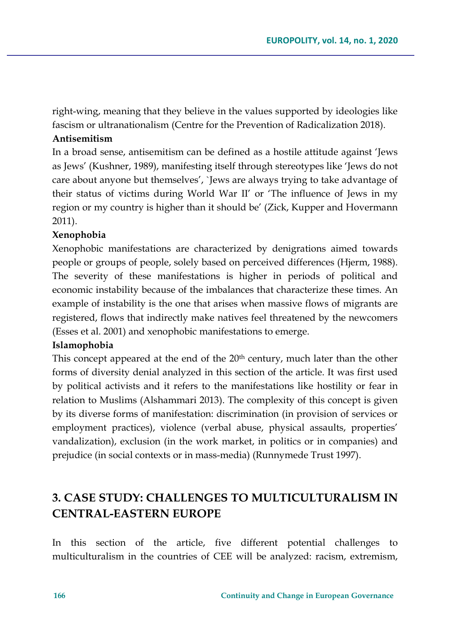right-wing, meaning that they believe in the values supported by ideologies like fascism or ultranationalism (Centre for the Prevention of Radicalization 2018).

## **Antisemitism**

In a broad sense, antisemitism can be defined as a hostile attitude against 'Jews as Jews' (Kushner, 1989), manifesting itself through stereotypes like 'Jews do not care about anyone but themselves', `Jews are always trying to take advantage of their status of victims during World War II' or 'The influence of Jews in my region or my country is higher than it should be' (Zick, Kupper and Hovermann 2011).

#### **Xenophobia**

Xenophobic manifestations are characterized by denigrations aimed towards people or groups of people, solely based on perceived differences (Hjerm, 1988). The severity of these manifestations is higher in periods of political and economic instability because of the imbalances that characterize these times. An example of instability is the one that arises when massive flows of migrants are registered, flows that indirectly make natives feel threatened by the newcomers (Esses et al. 2001) and xenophobic manifestations to emerge.

#### **Islamophobia**

This concept appeared at the end of the 20<sup>th</sup> century, much later than the other forms of diversity denial analyzed in this section of the article. It was first used by political activists and it refers to the manifestations like hostility or fear in relation to Muslims (Alshammari 2013). The complexity of this concept is given by its diverse forms of manifestation: discrimination (in provision of services or employment practices), violence (verbal abuse, physical assaults, properties' vandalization), exclusion (in the work market, in politics or in companies) and prejudice (in social contexts or in mass-media) (Runnymede Trust 1997).

# **3. CASE STUDY: CHALLENGES TO MULTICULTURALISM IN CENTRAL-EASTERN EUROPE**

In this section of the article, five different potential challenges to multiculturalism in the countries of CEE will be analyzed: racism, extremism,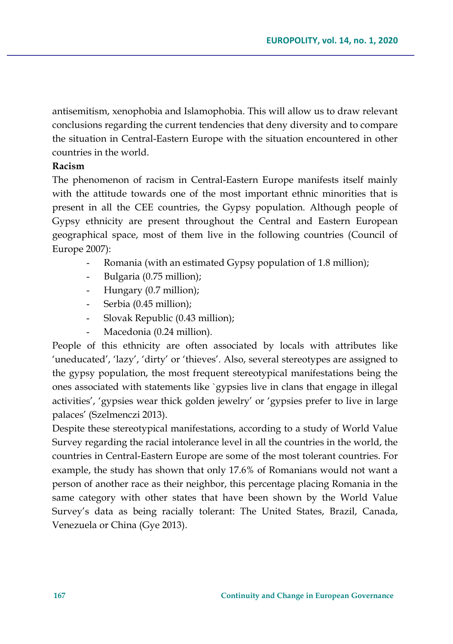antisemitism, xenophobia and Islamophobia. This will allow us to draw relevant conclusions regarding the current tendencies that deny diversity and to compare the situation in Central-Eastern Europe with the situation encountered in other countries in the world.

#### **Racism**

The phenomenon of racism in Central-Eastern Europe manifests itself mainly with the attitude towards one of the most important ethnic minorities that is present in all the CEE countries, the Gypsy population. Although people of Gypsy ethnicity are present throughout the Central and Eastern European geographical space, most of them live in the following countries (Council of Europe 2007):

- Romania (with an estimated Gypsy population of 1.8 million);
- Bulgaria (0.75 million);
- Hungary (0.7 million);
- Serbia (0.45 million);
- Slovak Republic (0.43 million);
- Macedonia (0.24 million).

People of this ethnicity are often associated by locals with attributes like 'uneducated', 'lazy', 'dirty' or 'thieves'. Also, several stereotypes are assigned to the gypsy population, the most frequent stereotypical manifestations being the ones associated with statements like `gypsies live in clans that engage in illegal activities', 'gypsies wear thick golden jewelry' or 'gypsies prefer to live in large palaces' (Szelmenczi 2013).

Despite these stereotypical manifestations, according to a study of World Value Survey regarding the racial intolerance level in all the countries in the world, the countries in Central-Eastern Europe are some of the most tolerant countries. For example, the study has shown that only 17.6% of Romanians would not want a person of another race as their neighbor, this percentage placing Romania in the same category with other states that have been shown by the World Value Survey's data as being racially tolerant: The United States, Brazil, Canada, Venezuela or China (Gye 2013).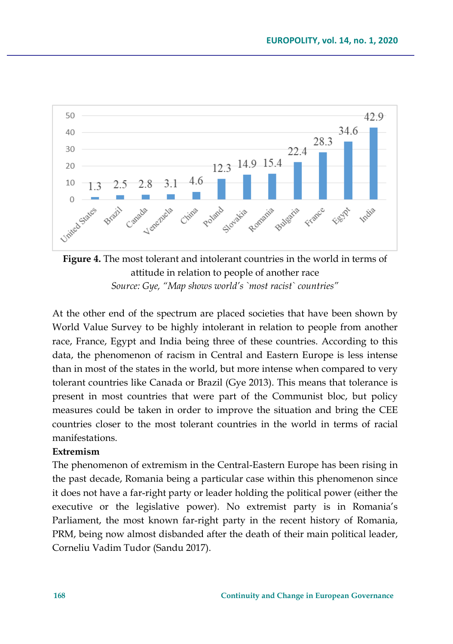



At the other end of the spectrum are placed societies that have been shown by World Value Survey to be highly intolerant in relation to people from another race, France, Egypt and India being three of these countries. According to this data, the phenomenon of racism in Central and Eastern Europe is less intense than in most of the states in the world, but more intense when compared to very tolerant countries like Canada or Brazil (Gye 2013). This means that tolerance is present in most countries that were part of the Communist bloc, but policy measures could be taken in order to improve the situation and bring the CEE countries closer to the most tolerant countries in the world in terms of racial manifestations.

## **Extremism**

The phenomenon of extremism in the Central-Eastern Europe has been rising in the past decade, Romania being a particular case within this phenomenon since it does not have a far-right party or leader holding the political power (either the executive or the legislative power). No extremist party is in Romania's Parliament, the most known far-right party in the recent history of Romania, PRM, being now almost disbanded after the death of their main political leader, Corneliu Vadim Tudor (Sandu 2017).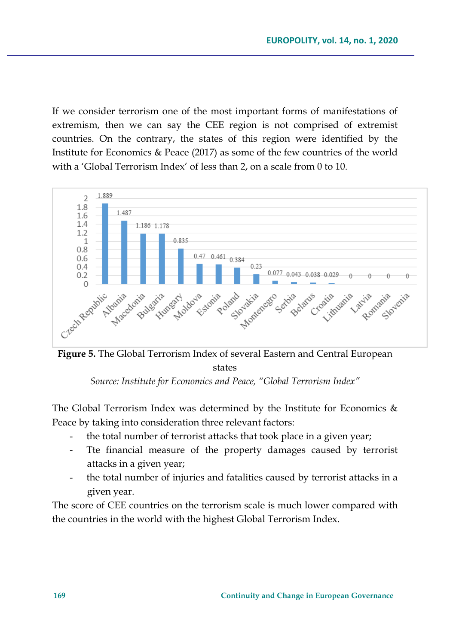If we consider terrorism one of the most important forms of manifestations of extremism, then we can say the CEE region is not comprised of extremist countries. On the contrary, the states of this region were identified by the Institute for Economics & Peace (2017) as some of the few countries of the world with a 'Global Terrorism Index' of less than 2, on a scale from 0 to 10.



**Figure 5.** The Global Terrorism Index of several Eastern and Central European states

*Source: Institute for Economics and Peace, "Global Terrorism Index"*

The Global Terrorism Index was determined by the Institute for Economics  $\&$ Peace by taking into consideration three relevant factors:

- the total number of terrorist attacks that took place in a given year;
- Tte financial measure of the property damages caused by terrorist attacks in a given year;
- the total number of injuries and fatalities caused by terrorist attacks in a given year.

The score of CEE countries on the terrorism scale is much lower compared with the countries in the world with the highest Global Terrorism Index.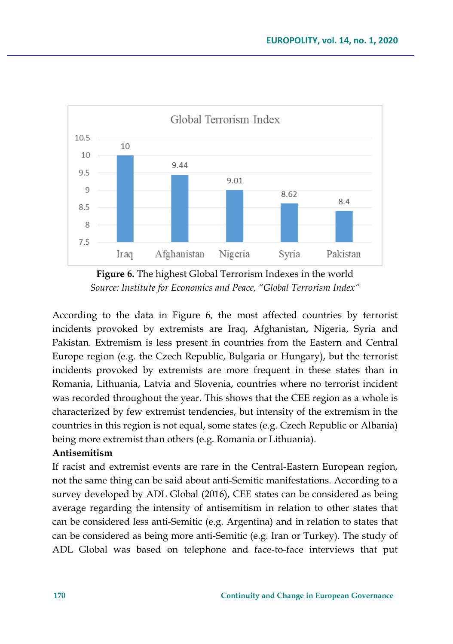

**Figure 6.** The highest Global Terrorism Indexes in the world *Source: Institute for Economics and Peace, "Global Terrorism Index"*

According to the data in Figure 6, the most affected countries by terrorist incidents provoked by extremists are Iraq, Afghanistan, Nigeria, Syria and Pakistan. Extremism is less present in countries from the Eastern and Central Europe region (e.g. the Czech Republic, Bulgaria or Hungary), but the terrorist incidents provoked by extremists are more frequent in these states than in Romania, Lithuania, Latvia and Slovenia, countries where no terrorist incident was recorded throughout the year. This shows that the CEE region as a whole is characterized by few extremist tendencies, but intensity of the extremism in the countries in this region is not equal, some states (e.g. Czech Republic or Albania) being more extremist than others (e.g. Romania or Lithuania).

## **Antisemitism**

If racist and extremist events are rare in the Central-Eastern European region, not the same thing can be said about anti-Semitic manifestations. According to a survey developed by ADL Global (2016), CEE states can be considered as being average regarding the intensity of antisemitism in relation to other states that can be considered less anti-Semitic (e.g. Argentina) and in relation to states that can be considered as being more anti-Semitic (e.g. Iran or Turkey). The study of ADL Global was based on telephone and face-to-face interviews that put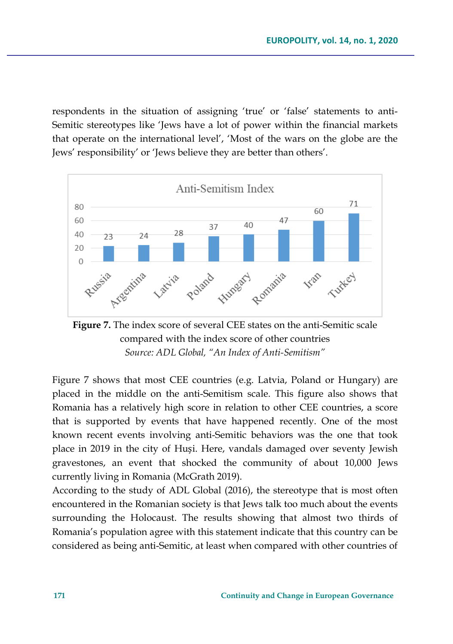respondents in the situation of assigning 'true' or 'false' statements to anti-Semitic stereotypes like 'Jews have a lot of power within the financial markets that operate on the international level', 'Most of the wars on the globe are the Jews' responsibility' or 'Jews believe they are better than others'.



**Figure 7.** The index score of several CEE states on the anti-Semitic scale compared with the index score of other countries *Source: ADL Global, "An Index of Anti-Semitism"*

Figure 7 shows that most CEE countries (e.g. Latvia, Poland or Hungary) are placed in the middle on the anti-Semitism scale. This figure also shows that Romania has a relatively high score in relation to other CEE countries, a score that is supported by events that have happened recently. One of the most known recent events involving anti-Semitic behaviors was the one that took place in 2019 in the city of Huși. Here, vandals damaged over seventy Jewish gravestones, an event that shocked the community of about 10,000 Jews currently living in Romania (McGrath 2019).

According to the study of ADL Global (2016), the stereotype that is most often encountered in the Romanian society is that Jews talk too much about the events surrounding the Holocaust. The results showing that almost two thirds of Romania's population agree with this statement indicate that this country can be considered as being anti-Semitic, at least when compared with other countries of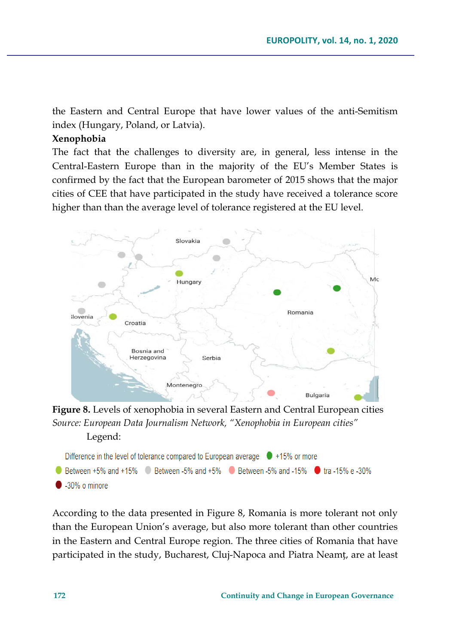the Eastern and Central Europe that have lower values of the anti-Semitism index (Hungary, Poland, or Latvia).

## **Xenophobia**

The fact that the challenges to diversity are, in general, less intense in the Central-Eastern Europe than in the majority of the EU's Member States is confirmed by the fact that the European barometer of 2015 shows that the major cities of CEE that have participated in the study have received a tolerance score higher than than the average level of tolerance registered at the EU level.



**Figure 8.** Levels of xenophobia in several Eastern and Central European cities *Source: European Data Journalism Network, "Xenophobia in European cities"* Legend:



According to the data presented in Figure 8, Romania is more tolerant not only than the European Union's average, but also more tolerant than other countries in the Eastern and Central Europe region. The three cities of Romania that have participated in the study, Bucharest, Cluj-Napoca and Piatra Neamț, are at least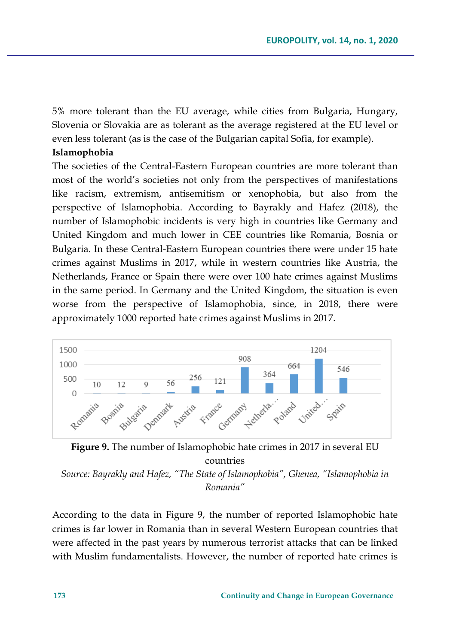5% more tolerant than the EU average, while cities from Bulgaria, Hungary, Slovenia or Slovakia are as tolerant as the average registered at the EU level or even less tolerant (as is the case of the Bulgarian capital Sofia, for example).

#### **Islamophobia**

The societies of the Central-Eastern European countries are more tolerant than most of the world's societies not only from the perspectives of manifestations like racism, extremism, antisemitism or xenophobia, but also from the perspective of Islamophobia. According to Bayrakly and Hafez (2018), the number of Islamophobic incidents is very high in countries like Germany and United Kingdom and much lower in CEE countries like Romania, Bosnia or Bulgaria. In these Central-Eastern European countries there were under 15 hate crimes against Muslims in 2017, while in western countries like Austria, the Netherlands, France or Spain there were over 100 hate crimes against Muslims in the same period. In Germany and the United Kingdom, the situation is even worse from the perspective of Islamophobia, since, in 2018, there were approximately 1000 reported hate crimes against Muslims in 2017.



**Figure 9.** The number of Islamophobic hate crimes in 2017 in several EU countries

*Source: Bayrakly and Hafez, "The State of Islamophobia", Ghenea, "Islamophobia in Romania"*

According to the data in Figure 9, the number of reported Islamophobic hate crimes is far lower in Romania than in several Western European countries that were affected in the past years by numerous terrorist attacks that can be linked with Muslim fundamentalists. However, the number of reported hate crimes is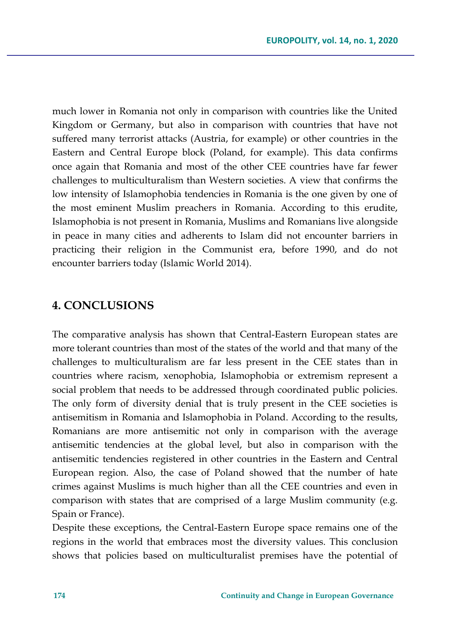much lower in Romania not only in comparison with countries like the United Kingdom or Germany, but also in comparison with countries that have not suffered many terrorist attacks (Austria, for example) or other countries in the Eastern and Central Europe block (Poland, for example). This data confirms once again that Romania and most of the other CEE countries have far fewer challenges to multiculturalism than Western societies. A view that confirms the low intensity of Islamophobia tendencies in Romania is the one given by one of the most eminent Muslim preachers in Romania. According to this erudite, Islamophobia is not present in Romania, Muslims and Romanians live alongside in peace in many cities and adherents to Islam did not encounter barriers in practicing their religion in the Communist era, before 1990, and do not encounter barriers today (Islamic World 2014).

# **4. CONCLUSIONS**

The comparative analysis has shown that Central-Eastern European states are more tolerant countries than most of the states of the world and that many of the challenges to multiculturalism are far less present in the CEE states than in countries where racism, xenophobia, Islamophobia or extremism represent a social problem that needs to be addressed through coordinated public policies. The only form of diversity denial that is truly present in the CEE societies is antisemitism in Romania and Islamophobia in Poland. According to the results, Romanians are more antisemitic not only in comparison with the average antisemitic tendencies at the global level, but also in comparison with the antisemitic tendencies registered in other countries in the Eastern and Central European region. Also, the case of Poland showed that the number of hate crimes against Muslims is much higher than all the CEE countries and even in comparison with states that are comprised of a large Muslim community (e.g. Spain or France).

Despite these exceptions, the Central-Eastern Europe space remains one of the regions in the world that embraces most the diversity values. This conclusion shows that policies based on multiculturalist premises have the potential of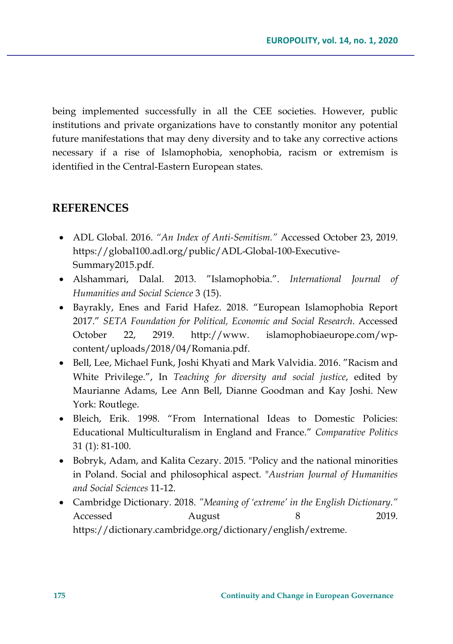being implemented successfully in all the CEE societies. However, public institutions and private organizations have to constantly monitor any potential future manifestations that may deny diversity and to take any corrective actions necessary if a rise of Islamophobia, xenophobia, racism or extremism is identified in the Central-Eastern European states.

# **REFERENCES**

- ADL Global. 2016. *"An Index of Anti-Semitism."* Accessed October 23, 2019. https://global100.adl.org/public/ADL-Global-100-Executive-Summary2015.pdf.
- Alshammari, Dalal. 2013. "Islamophobia.". *International Journal of Humanities and Social Science* 3 (15).
- Bayrakly, Enes and Farid Hafez. 2018. "European Islamophobia Report 2017." *SETA Foundation for Political, Economic and Social Research*. Accessed October 22, 2919. http://www. islamophobiaeurope.com/wpcontent/uploads/2018/04/Romania.pdf.
- Bell, Lee, Michael Funk, Joshi Khyati and Mark Valvidia. 2016. "Racism and White Privilege.", In *Teaching for diversity and social justice*, edited by Maurianne Adams, Lee Ann Bell, Dianne Goodman and Kay Joshi. New York: Routlege.
- Bleich, Erik. 1998. "From International Ideas to Domestic Policies: Educational Multiculturalism in England and France." *Comparative Politics* 31 (1): 81-100.
- Bobryk, Adam, and Kalita Cezary. 2015. "Policy and the national minorities in Poland. Social and philosophical aspect. "*Austrian Journal of Humanities and Social Sciences* 11-12.
- Cambridge Dictionary. 2018. *"Meaning of 'extreme' in the English Dictionary."* Accessed August 8 2019. https://dictionary.cambridge.org/dictionary/english/extreme.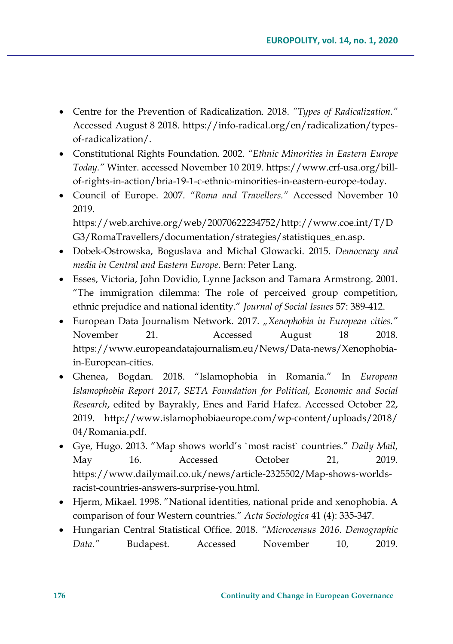- Centre for the Prevention of Radicalization. 2018. *"Types of Radicalization."* Accessed August 8 2018. https://info-radical.org/en/radicalization/typesof-radicalization/.
- Constitutional Rights Foundation. 2002. *"Ethnic Minorities in Eastern Europe Today."* Winter. accessed November 10 2019. https://www.crf-usa.org/billof-rights-in-action/bria-19-1-c-ethnic-minorities-in-eastern-europe-today.
- Council of Europe. 2007. *"Roma and Travellers."* Accessed November 10 2019. https://web.archive.org/web/20070622234752/http://www.coe.int/T/D G3/RomaTravellers/documentation/strategies/statistiques\_en.asp.
- Dobek-Ostrowska, Boguslava and Michal Glowacki. 2015. *Democracy and media in Central and Eastern Europe*. Bern: Peter Lang.
- Esses, Victoria, John Dovidio, Lynne Jackson and Tamara Armstrong. 2001. "The immigration dilemma: The role of perceived group competition, ethnic prejudice and national identity." *Journal of Social Issues* 57: 389-412.
- European Data Journalism Network. 2017. *"Xenophobia in European cities."* November 21. Accessed August 18 2018. https://www.europeandatajournalism.eu/News/Data-news/Xenophobiain-European-cities.
- Ghenea, Bogdan. 2018. "Islamophobia in Romania." In *European Islamophobia Report 2017*, *SETA Foundation for Political, Economic and Social Research*, edited by Bayrakly, Enes and Farid Hafez. Accessed October 22, 2019. http://www.islamophobiaeurope.com/wp-content/uploads/2018/ 04/Romania.pdf.
- Gye, Hugo. 2013. "Map shows world's `most racist` countries." *Daily Mail*, May 16. Accessed October 21, 2019. https://www.dailymail.co.uk/news/article-2325502/Map-shows-worldsracist-countries-answers-surprise-you.html.
- Hjerm, Mikael. 1998. "National identities, national pride and xenophobia. A comparison of four Western countries." *Acta Sociologica* 41 (4): 335-347.
- Hungarian Central Statistical Office. 2018. *"Microcensus 2016. Demographic Data."* Budapest. Accessed November 10, 2019.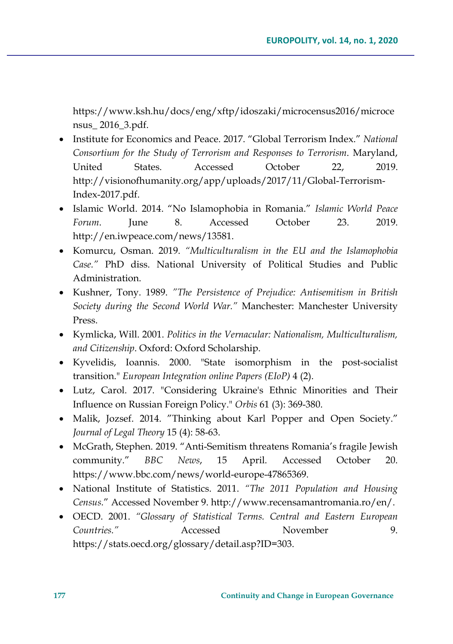https://www.ksh.hu/docs/eng/xftp/idoszaki/microcensus2016/microce nsus\_ 2016\_3.pdf.

- Institute for Economics and Peace. 2017. "Global Terrorism Index." *National Consortium for the Study of Terrorism and Responses to Terrorism*. Maryland, United States. Accessed October 22, 2019. http://visionofhumanity.org/app/uploads/2017/11/Global-Terrorism-Index-2017.pdf.
- Islamic World. 2014. "No Islamophobia in Romania." *Islamic World Peace Forum*. June 8. Accessed October 23. 2019. http://en.iwpeace.com/news/13581.
- Komurcu, Osman. 2019. *"Multiculturalism in the EU and the Islamophobia Case."* PhD diss. National University of Political Studies and Public Administration.
- Kushner, Tony. 1989. *"The Persistence of Prejudice: Antisemitism in British Society during the Second World War."* Manchester: Manchester University Press.
- Kymlicka, Will. 2001. *Politics in the Vernacular: Nationalism, Multiculturalism, and Citizenship*. Oxford: Oxford Scholarship.
- Kyvelidis, Ioannis. 2000. "State isomorphism in the post-socialist transition." *European Integration online Papers (EIoP)* 4 (2).
- Lutz, Carol. 2017. "Considering Ukraine's Ethnic Minorities and Their Influence on Russian Foreign Policy." *Orbis* 61 (3): 369-380.
- Malik, Jozsef. 2014. "Thinking about Karl Popper and Open Society." *Journal of Legal Theory* 15 (4): 58-63.
- McGrath, Stephen. 2019. "Anti-Semitism threatens Romania's fragile Jewish community." *BBC News*, 15 April. Accessed October 20. https://www.bbc.com/news/world-europe-47865369.
- National Institute of Statistics. 2011. *"The 2011 Population and Housing Census.*" Accessed November 9. http://www.recensamantromania.ro/en/.
- OECD. 2001. *"Glossary of Statistical Terms. Central and Eastern European Countries."* Accessed November 9. https://stats.oecd.org/glossary/detail.asp?ID=303.